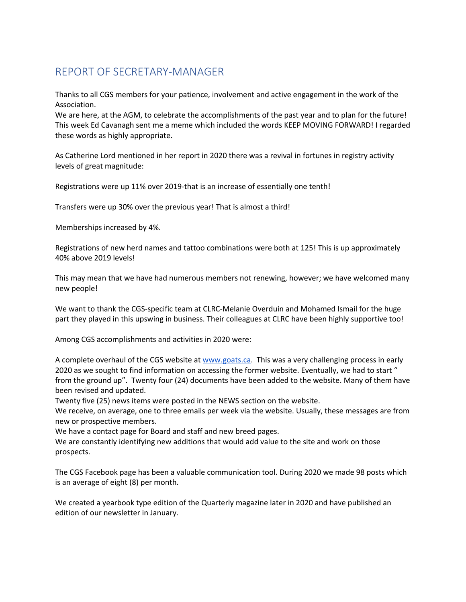## REPORT OF SECRETARY-MANAGER

Thanks to all CGS members for your patience, involvement and active engagement in the work of the Association.

We are here, at the AGM, to celebrate the accomplishments of the past year and to plan for the future! This week Ed Cavanagh sent me a meme which included the words KEEP MOVING FORWARD! I regarded these words as highly appropriate.

As Catherine Lord mentioned in her report in 2020 there was a revival in fortunes in registry activity levels of great magnitude:

Registrations were up 11% over 2019-that is an increase of essentially one tenth!

Transfers were up 30% over the previous year! That is almost a third!

Memberships increased by 4%.

Registrations of new herd names and tattoo combinations were both at 125! This is up approximately 40% above 2019 levels!

This may mean that we have had numerous members not renewing, however; we have welcomed many new people!

We want to thank the CGS-specific team at CLRC-Melanie Overduin and Mohamed Ismail for the huge part they played in this upswing in business. Their colleagues at CLRC have been highly supportive too!

Among CGS accomplishments and activities in 2020 were:

A complete overhaul of the CGS website at www.goats.ca. This was a very challenging process in early 2020 as we sought to find information on accessing the former website. Eventually, we had to start " from the ground up". Twenty four (24) documents have been added to the website. Many of them have been revised and updated.

Twenty five (25) news items were posted in the NEWS section on the website.

We receive, on average, one to three emails per week via the website. Usually, these messages are from new or prospective members.

We have a contact page for Board and staff and new breed pages.

We are constantly identifying new additions that would add value to the site and work on those prospects.

The CGS Facebook page has been a valuable communication tool. During 2020 we made 98 posts which is an average of eight (8) per month.

We created a yearbook type edition of the Quarterly magazine later in 2020 and have published an edition of our newsletter in January.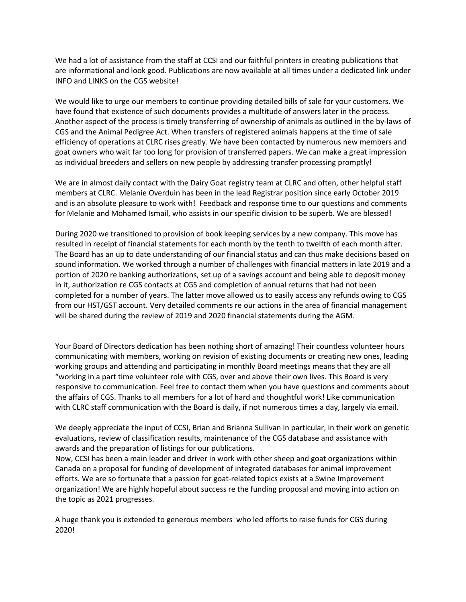We had a lot of assistance from the staff at CCSI and our faithful printers in creating publications that are informational and look good. Publications are now available at all times under a dedicated link under INFO and LINKS on the CGS website!

We would like to urge our members to continue providing detailed bills of sale for your customers. We have found that existence of such documents provides a multitude of answers later in the process. Another aspect of the process is timely transferring of ownership of animals as outlined in the by-laws of CGS and the Animal Pedigree Act. When transfers of registered animals happens at the time of sale efficiency of operations at CLRC rises greatly. We have been contacted by numerous new members and goat owners who wait far too long for provision of transferred papers. We can make a great impression as individual breeders and sellers on new people by addressing transfer processing promptly!

We are in almost daily contact with the Dairy Goat registry team at CLRC and often, other helpful staff members at CLRC. Melanie Overduin has been in the lead Registrar position since early October 2019 and is an absolute pleasure to work with! Feedback and response time to our questions and comments for Melanie and Mohamed Ismail, who assists in our specific division to be superb. We are blessed!

During 2020 we transitioned to provision of book keeping services by a new company. This move has resulted in receipt of financial statements for each month by the tenth to twelfth of each month after. The Board has an up to date understanding of our financial status and can thus make decisions based on sound information. We worked through a number of challenges with financial matters in late 2019 and a portion of 2020 re banking authorizations, set up of a savings account and being able to deposit money in it, authorization re CGS contacts at CGS and completion of annual returns that had not been completed for a number of years. The latter move allowed us to easily access any refunds owing to CGS from our HST/GST account. Very detailed comments re our actions in the area of financial management will be shared during the review of 2019 and 2020 financial statements during the AGM.

Your Board of Directors dedication has been nothing short of amazing! Their countless volunteer hours communicating with members, working on revision of existing documents or creating new ones, leading working groups and attending and participating in monthly Board meetings means that they are all "working in a part time volunteer role with CGS, over and above their own lives. This Board is very responsive to communication. Feel free to contact them when you have questions and comments about the affairs of CGS. Thanks to all members for a lot of hard and thoughtful work! Like communication with CLRC staff communication with the Board is daily, if not numerous times a day, largely via email.

We deeply appreciate the input of CCSI, Brian and Brianna Sullivan in particular, in their work on genetic evaluations, review of classification results, maintenance of the CGS database and assistance with awards and the preparation of listings for our publications.

Now, CCSI has been a main leader and driver in work with other sheep and goat organizations within Canada on a proposal for funding of development of integrated databases for animal improvement efforts. We are so fortunate that a passion for goat-related topics exists at a Swine Improvement organization! We are highly hopeful about success re the funding proposal and moving into action on the topic as 2021 progresses.

A huge thank you is extended to generous members who led efforts to raise funds for CGS during 2020!